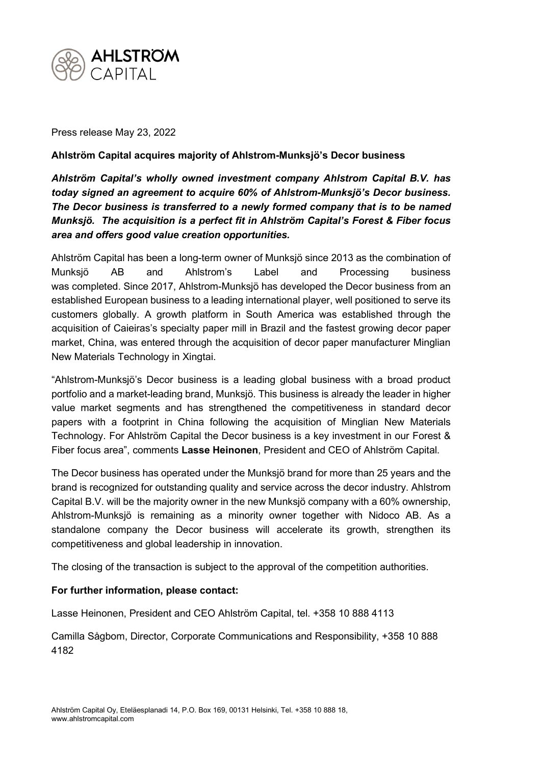

Press release May 23, 2022

## **Ahlström Capital acquires majority of Ahlstrom-Munksjö's Decor business**

*Ahlström Capital's wholly owned investment company Ahlstrom Capital B.V. has today signed an agreement to acquire 60% of Ahlstrom-Munksjö's Decor business. The Decor business is transferred to a newly formed company that is to be named Munksjö. The acquisition is a perfect fit in Ahlström Capital's Forest & Fiber focus area and offers good value creation opportunities.* 

Ahlström Capital has been a long-term owner of Munksjö since 2013 as the combination of Munksjö AB and Ahlstrom's Label and Processing business was completed. Since 2017, Ahlstrom-Munksjö has developed the Decor business from an established European business to a leading international player, well positioned to serve its customers globally. A growth platform in South America was established through the acquisition of Caieiras's specialty paper mill in Brazil and the fastest growing decor paper market, China, was entered through the acquisition of decor paper manufacturer Minglian New Materials Technology in Xingtai.

"Ahlstrom-Munksjö's Decor business is a leading global business with a broad product portfolio and a market-leading brand, Munksjö. This business is already the leader in higher value market segments and has strengthened the competitiveness in standard decor papers with a footprint in China following the acquisition of Minglian New Materials Technology. For Ahlström Capital the Decor business is a key investment in our Forest & Fiber focus area", comments **Lasse Heinonen**, President and CEO of Ahlström Capital.

The Decor business has operated under the Munksjö brand for more than 25 years and the brand is recognized for outstanding quality and service across the decor industry. Ahlstrom Capital B.V. will be the majority owner in the new Munksjö company with a 60% ownership, Ahlstrom-Munksjö is remaining as a minority owner together with Nidoco AB. As a standalone company the Decor business will accelerate its growth, strengthen its competitiveness and global leadership in innovation.

The closing of the transaction is subject to the approval of the competition authorities.

## **For further information, please contact:**

Lasse Heinonen, President and CEO Ahlström Capital, tel. +358 10 888 4113

Camilla Sågbom, Director, Corporate Communications and Responsibility, +358 10 888 4182